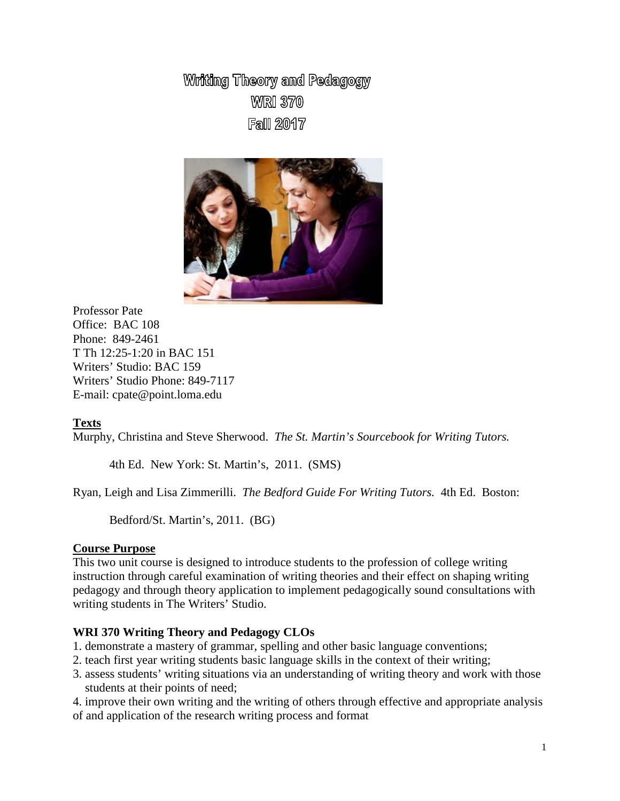Writing Theory and Pedagogy **WARI 370 Fall 2017** 



Professor Pate Office: BAC 108 Phone: 849-2461 T Th 12:25-1:20 in BAC 151 Writers' Studio: BAC 159 Writers' Studio Phone: 849-7117 E-mail: cpate@point.loma.edu

# **Texts**

Murphy, Christina and Steve Sherwood. *The St. Martin's Sourcebook for Writing Tutors.*

4th Ed. New York: St. Martin's, 2011. (SMS)

Ryan, Leigh and Lisa Zimmerilli. *The Bedford Guide For Writing Tutors.* 4th Ed. Boston:

Bedford/St. Martin's, 2011. (BG)

## **Course Purpose**

This two unit course is designed to introduce students to the profession of college writing instruction through careful examination of writing theories and their effect on shaping writing pedagogy and through theory application to implement pedagogically sound consultations with writing students in The Writers' Studio.

## **WRI 370 Writing Theory and Pedagogy CLOs**

- 1. demonstrate a mastery of grammar, spelling and other basic language conventions;
- 2. teach first year writing students basic language skills in the context of their writing;
- 3. assess students' writing situations via an understanding of writing theory and work with those students at their points of need;

4. improve their own writing and the writing of others through effective and appropriate analysis of and application of the research writing process and format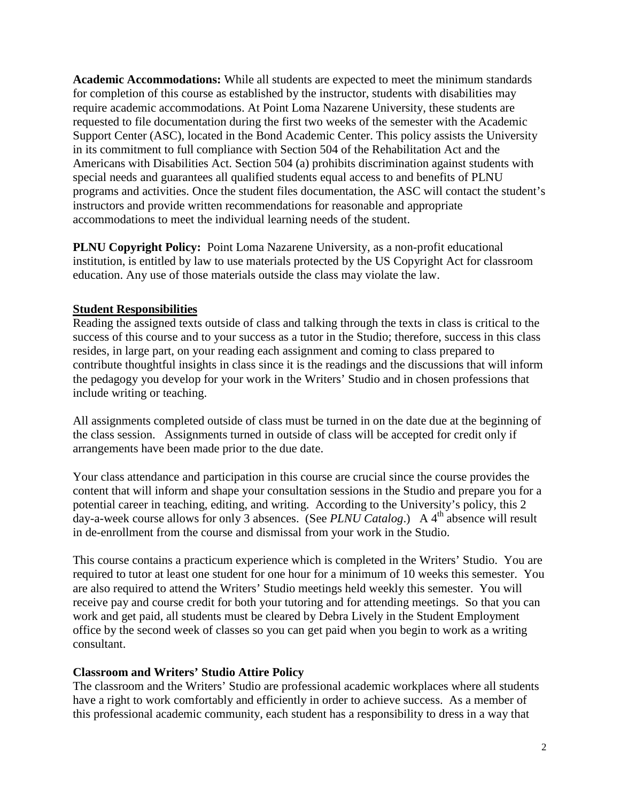**Academic Accommodations:** While all students are expected to meet the minimum standards for completion of this course as established by the instructor, students with disabilities may require academic accommodations. At Point Loma Nazarene University, these students are requested to file documentation during the first two weeks of the semester with the Academic Support Center (ASC), located in the Bond Academic Center. This policy assists the University in its commitment to full compliance with Section 504 of the Rehabilitation Act and the Americans with Disabilities Act. Section 504 (a) prohibits discrimination against students with special needs and guarantees all qualified students equal access to and benefits of PLNU programs and activities. Once the student files documentation, the ASC will contact the student's instructors and provide written recommendations for reasonable and appropriate accommodations to meet the individual learning needs of the student.

**PLNU Copyright Policy:** Point Loma Nazarene University, as a non-profit educational institution, is entitled by law to use materials protected by the US Copyright Act for classroom education. Any use of those materials outside the class may violate the law.

## **Student Responsibilities**

Reading the assigned texts outside of class and talking through the texts in class is critical to the success of this course and to your success as a tutor in the Studio; therefore, success in this class resides, in large part, on your reading each assignment and coming to class prepared to contribute thoughtful insights in class since it is the readings and the discussions that will inform the pedagogy you develop for your work in the Writers' Studio and in chosen professions that include writing or teaching.

All assignments completed outside of class must be turned in on the date due at the beginning of the class session. Assignments turned in outside of class will be accepted for credit only if arrangements have been made prior to the due date.

Your class attendance and participation in this course are crucial since the course provides the content that will inform and shape your consultation sessions in the Studio and prepare you for a potential career in teaching, editing, and writing. According to the University's policy, this 2 day-a-week course allows for only 3 absences. (See *PLNU Catalog*.) A 4<sup>th</sup> absence will result in de-enrollment from the course and dismissal from your work in the Studio.

This course contains a practicum experience which is completed in the Writers' Studio. You are required to tutor at least one student for one hour for a minimum of 10 weeks this semester. You are also required to attend the Writers' Studio meetings held weekly this semester. You will receive pay and course credit for both your tutoring and for attending meetings. So that you can work and get paid, all students must be cleared by Debra Lively in the Student Employment office by the second week of classes so you can get paid when you begin to work as a writing consultant.

# **Classroom and Writers' Studio Attire Policy**

The classroom and the Writers' Studio are professional academic workplaces where all students have a right to work comfortably and efficiently in order to achieve success. As a member of this professional academic community, each student has a responsibility to dress in a way that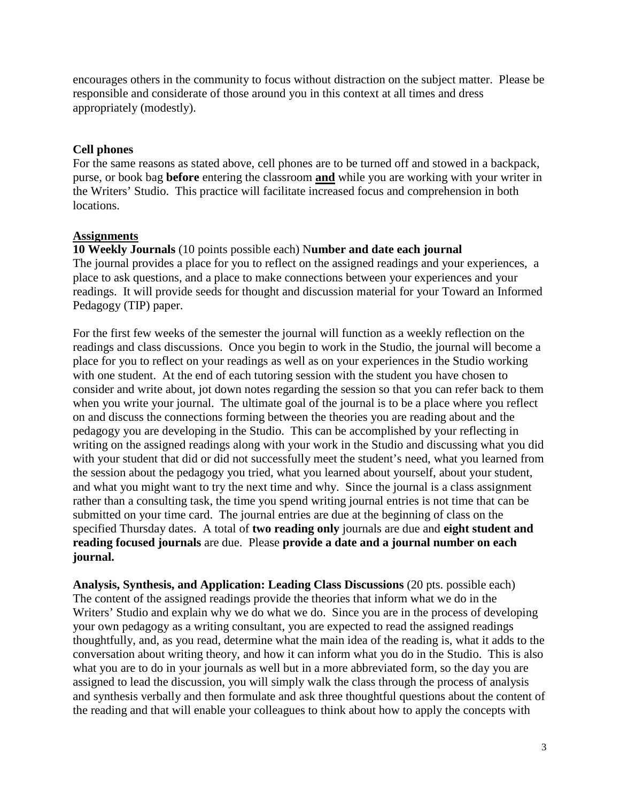encourages others in the community to focus without distraction on the subject matter. Please be responsible and considerate of those around you in this context at all times and dress appropriately (modestly).

## **Cell phones**

For the same reasons as stated above, cell phones are to be turned off and stowed in a backpack, purse, or book bag **before** entering the classroom **and** while you are working with your writer in the Writers' Studio. This practice will facilitate increased focus and comprehension in both locations.

## **Assignments**

**10 Weekly Journals** (10 points possible each) N**umber and date each journal** The journal provides a place for you to reflect on the assigned readings and your experiences, a place to ask questions, and a place to make connections between your experiences and your readings. It will provide seeds for thought and discussion material for your Toward an Informed Pedagogy (TIP) paper.

For the first few weeks of the semester the journal will function as a weekly reflection on the readings and class discussions. Once you begin to work in the Studio, the journal will become a place for you to reflect on your readings as well as on your experiences in the Studio working with one student. At the end of each tutoring session with the student you have chosen to consider and write about, jot down notes regarding the session so that you can refer back to them when you write your journal. The ultimate goal of the journal is to be a place where you reflect on and discuss the connections forming between the theories you are reading about and the pedagogy you are developing in the Studio. This can be accomplished by your reflecting in writing on the assigned readings along with your work in the Studio and discussing what you did with your student that did or did not successfully meet the student's need, what you learned from the session about the pedagogy you tried, what you learned about yourself, about your student, and what you might want to try the next time and why. Since the journal is a class assignment rather than a consulting task, the time you spend writing journal entries is not time that can be submitted on your time card. The journal entries are due at the beginning of class on the specified Thursday dates. A total of **two reading only** journals are due and **eight student and reading focused journals** are due. Please **provide a date and a journal number on each journal.** 

**Analysis, Synthesis, and Application: Leading Class Discussions** (20 pts. possible each) The content of the assigned readings provide the theories that inform what we do in the Writers' Studio and explain why we do what we do. Since you are in the process of developing your own pedagogy as a writing consultant, you are expected to read the assigned readings thoughtfully, and, as you read, determine what the main idea of the reading is, what it adds to the conversation about writing theory, and how it can inform what you do in the Studio. This is also what you are to do in your journals as well but in a more abbreviated form, so the day you are assigned to lead the discussion, you will simply walk the class through the process of analysis and synthesis verbally and then formulate and ask three thoughtful questions about the content of the reading and that will enable your colleagues to think about how to apply the concepts with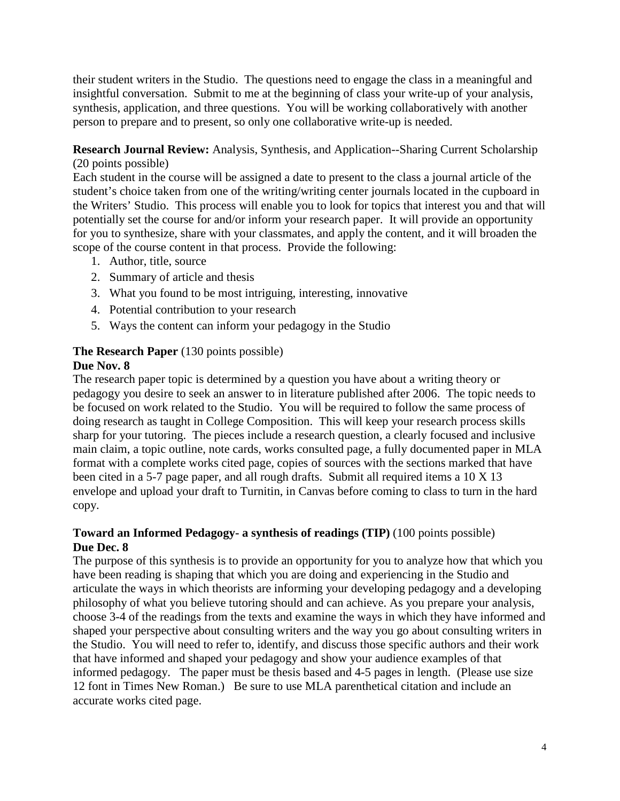their student writers in the Studio. The questions need to engage the class in a meaningful and insightful conversation. Submit to me at the beginning of class your write-up of your analysis, synthesis, application, and three questions. You will be working collaboratively with another person to prepare and to present, so only one collaborative write-up is needed.

# **Research Journal Review:** Analysis, Synthesis, and Application--Sharing Current Scholarship (20 points possible)

Each student in the course will be assigned a date to present to the class a journal article of the student's choice taken from one of the writing/writing center journals located in the cupboard in the Writers' Studio. This process will enable you to look for topics that interest you and that will potentially set the course for and/or inform your research paper. It will provide an opportunity for you to synthesize, share with your classmates, and apply the content, and it will broaden the scope of the course content in that process. Provide the following:

- 1. Author, title, source
- 2. Summary of article and thesis
- 3. What you found to be most intriguing, interesting, innovative
- 4. Potential contribution to your research
- 5. Ways the content can inform your pedagogy in the Studio

# **The Research Paper** (130 points possible)

# **Due Nov. 8**

The research paper topic is determined by a question you have about a writing theory or pedagogy you desire to seek an answer to in literature published after 2006. The topic needs to be focused on work related to the Studio. You will be required to follow the same process of doing research as taught in College Composition. This will keep your research process skills sharp for your tutoring. The pieces include a research question, a clearly focused and inclusive main claim, a topic outline, note cards, works consulted page, a fully documented paper in MLA format with a complete works cited page, copies of sources with the sections marked that have been cited in a 5-7 page paper, and all rough drafts. Submit all required items a 10 X 13 envelope and upload your draft to Turnitin, in Canvas before coming to class to turn in the hard copy.

# **Toward an Informed Pedagogy- a synthesis of readings (TIP)** (100 points possible) **Due Dec. 8**

The purpose of this synthesis is to provide an opportunity for you to analyze how that which you have been reading is shaping that which you are doing and experiencing in the Studio and articulate the ways in which theorists are informing your developing pedagogy and a developing philosophy of what you believe tutoring should and can achieve. As you prepare your analysis, choose 3-4 of the readings from the texts and examine the ways in which they have informed and shaped your perspective about consulting writers and the way you go about consulting writers in the Studio. You will need to refer to, identify, and discuss those specific authors and their work that have informed and shaped your pedagogy and show your audience examples of that informed pedagogy. The paper must be thesis based and 4-5 pages in length. (Please use size 12 font in Times New Roman.) Be sure to use MLA parenthetical citation and include an accurate works cited page.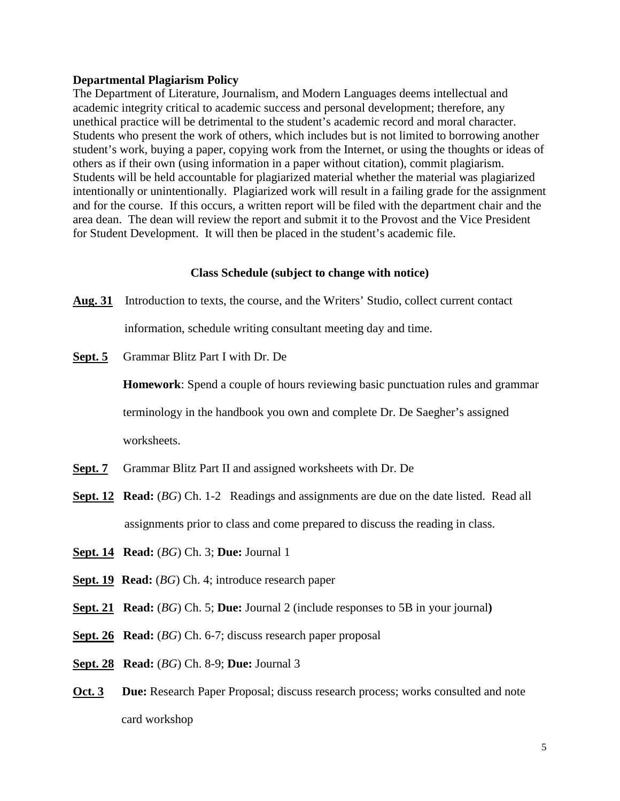#### **Departmental Plagiarism Policy**

The Department of Literature, Journalism, and Modern Languages deems intellectual and academic integrity critical to academic success and personal development; therefore, any unethical practice will be detrimental to the student's academic record and moral character. Students who present the work of others, which includes but is not limited to borrowing another student's work, buying a paper, copying work from the Internet, or using the thoughts or ideas of others as if their own (using information in a paper without citation), commit plagiarism. Students will be held accountable for plagiarized material whether the material was plagiarized intentionally or unintentionally. Plagiarized work will result in a failing grade for the assignment and for the course. If this occurs, a written report will be filed with the department chair and the area dean. The dean will review the report and submit it to the Provost and the Vice President for Student Development. It will then be placed in the student's academic file.

#### **Class Schedule (subject to change with notice)**

- **Aug. 31** Introduction to texts, the course, and the Writers' Studio, collect current contact information, schedule writing consultant meeting day and time.
- **Sept. 5** Grammar Blitz Part I with Dr. De

**Homework**: Spend a couple of hours reviewing basic punctuation rules and grammar terminology in the handbook you own and complete Dr. De Saegher's assigned worksheets.

- **Sept. 7** Grammar Blitz Part II and assigned worksheets with Dr. De
- **Sept. 12 Read:** (*BG*) Ch. 1-2 Readings and assignments are due on the date listed. Read all assignments prior to class and come prepared to discuss the reading in class.
- **Sept. 14 Read:** (*BG*) Ch. 3; **Due:** Journal 1
- **Sept. 19 Read:** (*BG*) Ch. 4; introduce research paper
- **Sept. 21 Read:** (*BG*) Ch. 5; **Due:** Journal 2 (include responses to 5B in your journal**)**
- **Sept. 26 Read:** (*BG*) Ch. 6-7; discuss research paper proposal
- **Sept. 28 Read:** (*BG*) Ch. 8-9; **Due:** Journal 3
- **Oct. 3 Due:** Research Paper Proposal; discuss research process; works consulted and note card workshop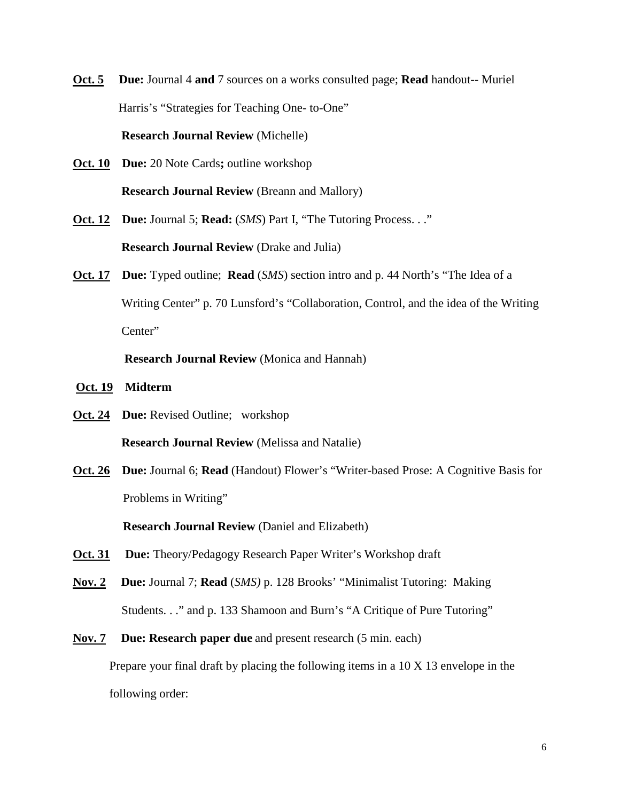- **Oct. 5 Due:** Journal 4 **and** 7 sources on a works consulted page; **Read** handout-- Muriel Harris's "Strategies for Teaching One- to-One" **Research Journal Review** (Michelle)
- **Oct. 10 Due:** 20 Note Cards**;** outline workshop **Research Journal Review** (Breann and Mallory)
- **Oct. 12 Due:** Journal 5; **Read:** (*SMS*) Part I, "The Tutoring Process. . ." **Research Journal Review** (Drake and Julia)
- **Oct. 17** Due: Typed outline; **Read** (*SMS*) section intro and p. 44 North's "The Idea of a Writing Center" p. 70 Lunsford's "Collaboration, Control, and the idea of the Writing Center"

**Research Journal Review** (Monica and Hannah)

- **Oct. 19 Midterm**
- **Oct. 24 Due:** Revised Outline; workshop  **Research Journal Review** (Melissa and Natalie)
- **Oct. 26 Due:** Journal 6; **Read** (Handout) Flower's "Writer-based Prose: A Cognitive Basis for Problems in Writing"

**Research Journal Review** (Daniel and Elizabeth)

- **Oct. 31 Due:** Theory/Pedagogy Research Paper Writer's Workshop draft
- **Nov. 2 Due:** Journal 7; **Read** (*SMS)* p. 128 Brooks' "Minimalist Tutoring: Making Students. . ." and p. 133 Shamoon and Burn's "A Critique of Pure Tutoring"
- **Nov. 7 Due: Research paper due** and present research (5 min. each) Prepare your final draft by placing the following items in a 10 X 13 envelope in the following order: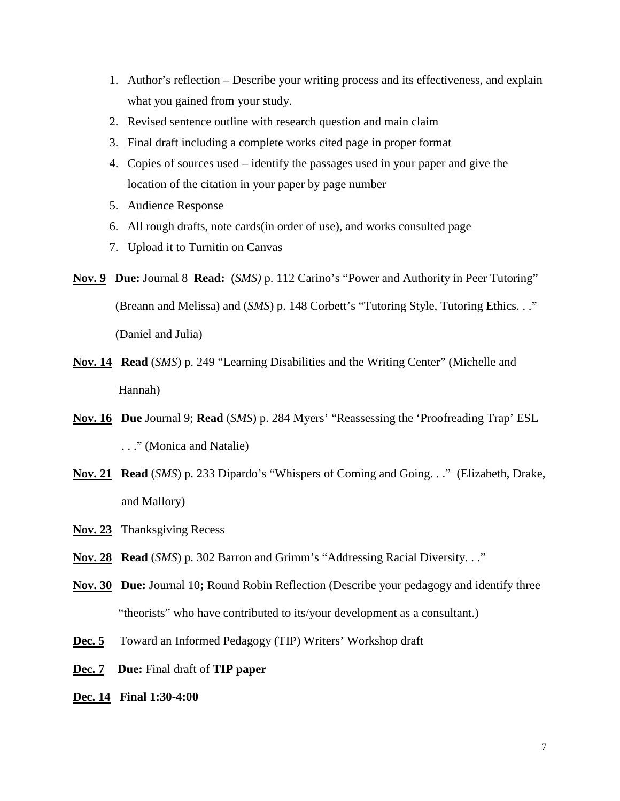- 1. Author's reflection Describe your writing process and its effectiveness, and explain what you gained from your study.
- 2. Revised sentence outline with research question and main claim
- 3. Final draft including a complete works cited page in proper format
- 4. Copies of sources used identify the passages used in your paper and give the location of the citation in your paper by page number
- 5. Audience Response
- 6. All rough drafts, note cards(in order of use), and works consulted page
- 7. Upload it to Turnitin on Canvas
- **Nov. 9 Due:** Journal 8 **Read:** (*SMS)* p. 112 Carino's "Power and Authority in Peer Tutoring" (Breann and Melissa) and (*SMS*) p. 148 Corbett's "Tutoring Style, Tutoring Ethics. . ." (Daniel and Julia)
- **Nov. 14 Read** (*SMS*) p. 249 "Learning Disabilities and the Writing Center" (Michelle and Hannah)
- **Nov. 16 Due** Journal 9; **Read** (*SMS*) p. 284 Myers' "Reassessing the 'Proofreading Trap' ESL . . ." (Monica and Natalie)
- **Nov. 21 Read** (*SMS*) p. 233 Dipardo's "Whispers of Coming and Going. . ." (Elizabeth, Drake, and Mallory)
- **Nov. 23** Thanksgiving Recess
- **Nov. 28 Read** (*SMS*) p. 302 Barron and Grimm's "Addressing Racial Diversity. . ."
- **Nov. 30 Due:** Journal 10**;** Round Robin Reflection (Describe your pedagogy and identify three "theorists" who have contributed to its/your development as a consultant.)
- **Dec. 5** Toward an Informed Pedagogy (TIP) Writers' Workshop draft
- **Dec. 7 Due:** Final draft of **TIP paper**
- **Dec. 14 Final 1:30-4:00**